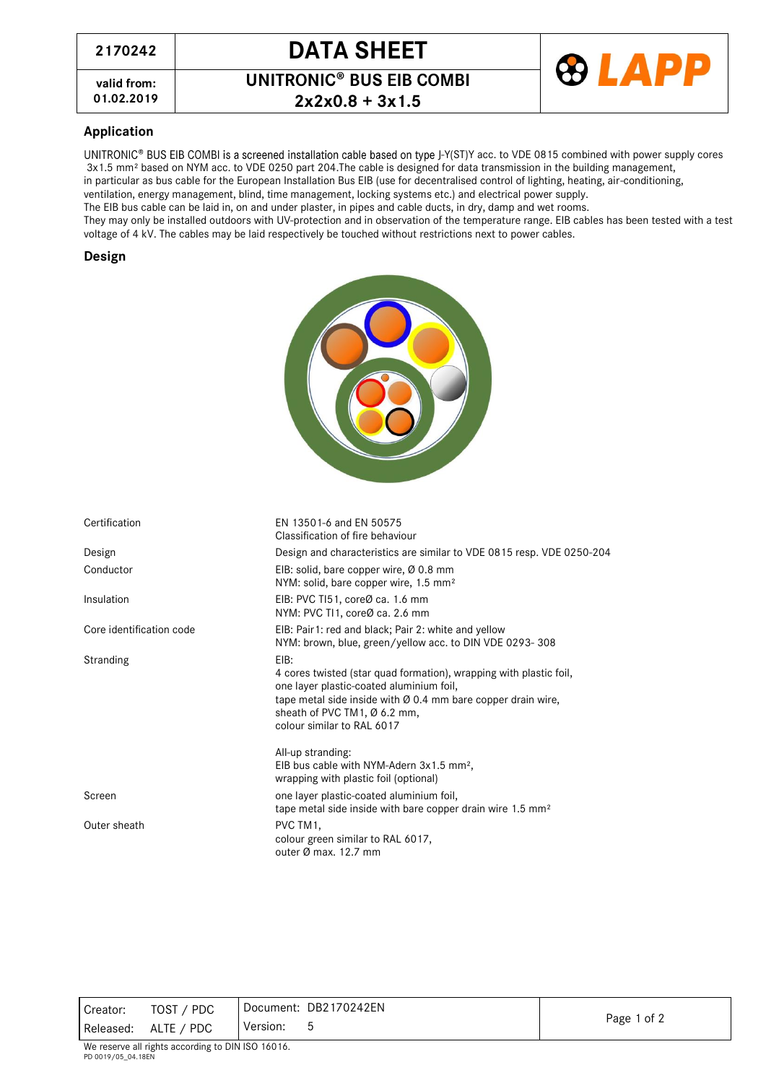# **<sup>2170242</sup> DATA SHEET**

**valid from: 01.02.2019 2x2x0.8 + 3x1.5**

**UNITRONIC<sup>®</sup> BUS EIB COMBI** 



### **Application**

UNITRONIC® BUS EIB COMBI is a screened installation cable based on type J-Y(ST)Y acc. to VDE 0815 combined with power supply cores 3x1.5 mm² based on NYM acc. to VDE 0250 part 204.The cable is designed for data transmission in the building management,

in particular as bus cable for the European Installation Bus EIB (use for decentralised control of lighting, heating, air-conditioning, ventilation, energy management, blind, time management, locking systems etc.) and electrical power supply.

The EIB bus cable can be laid in, on and under plaster, in pipes and cable ducts, in dry, damp and wet rooms.

They may only be installed outdoors with UV-protection and in observation of the temperature range. EIB cables has been tested with a test voltage of 4 kV. The cables may be laid respectively be touched without restrictions next to power cables.

#### **Design**

| יופיסט                   |                                                                                                                                                                                                                                                      |  |  |
|--------------------------|------------------------------------------------------------------------------------------------------------------------------------------------------------------------------------------------------------------------------------------------------|--|--|
| Certification            | EN 13501-6 and EN 50575<br>Classification of fire behaviour                                                                                                                                                                                          |  |  |
| Design                   | Design and characteristics are similar to VDE 0815 resp. VDE 0250-204                                                                                                                                                                                |  |  |
| Conductor                | EIB: solid, bare copper wire, Ø 0.8 mm<br>NYM: solid, bare copper wire, 1.5 mm <sup>2</sup>                                                                                                                                                          |  |  |
| Insulation               | EIB: PVC TI51, coreØ ca. 1.6 mm<br>NYM: PVC TI1, coreØ ca. 2.6 mm                                                                                                                                                                                    |  |  |
| Core identification code | EIB: Pair1: red and black; Pair 2: white and yellow<br>NYM: brown, blue, green/yellow acc. to DIN VDE 0293-308                                                                                                                                       |  |  |
| <b>Stranding</b>         | EIB:<br>4 cores twisted (star quad formation), wrapping with plastic foil,<br>one layer plastic-coated aluminium foil,<br>tape metal side inside with Ø 0.4 mm bare copper drain wire,<br>sheath of PVC TM1, Ø 6.2 mm,<br>colour similar to RAL 6017 |  |  |
|                          | All-up stranding:<br>EIB bus cable with NYM-Adern 3x1.5 mm <sup>2</sup> ,<br>wrapping with plastic foil (optional)                                                                                                                                   |  |  |
| Screen                   | one layer plastic-coated aluminium foil,<br>tape metal side inside with bare copper drain wire 1.5 mm <sup>2</sup>                                                                                                                                   |  |  |
| Outer sheath             | PVC TM1,<br>colour green similar to RAL 6017,<br>outer $\varnothing$ max. 12.7 mm                                                                                                                                                                    |  |  |